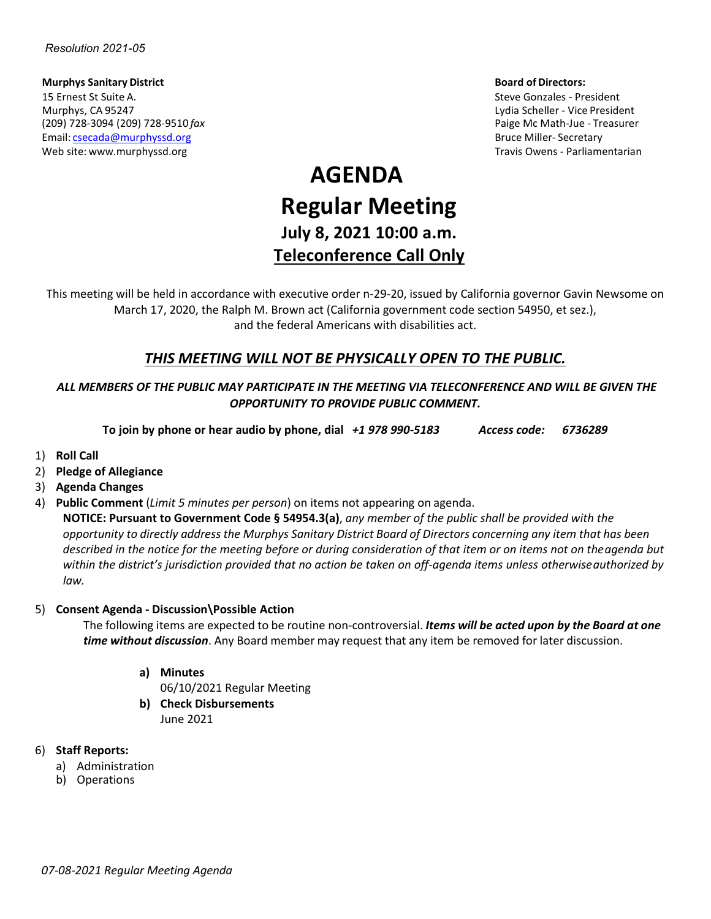**Murphys Sanitary District Board of Directors:** 15 Ernest St Suite A. Steve Gonzales - President Murphys, CA 95247 Lydia Scheller - Vice President (209) 728-3094 (209) 728-9510 *fax* Paige Mc Math-Jue - Treasurer Email: [csecada@murphyssd.org](mailto:csecada@murphyssd.org) Bruce Miller- Secretary and Bruce Miller- Secretary Web site: [www.murphyssd.org](http://www.murphyssd.org/) Travis Owens - Parliamentarian Communisty Communisty Communisty Communisty Communisty Communisty Communisty Communisty Communisty Communisty Communisty Communisty Communisty Communisty Communist

# **AGENDA Regular Meeting July 8, 2021 10:00 a.m. Teleconference Call Only**

This meeting will be held in accordance with executive order n-29-20, issued by California governor Gavin Newsome on March 17, 2020, the Ralph M. Brown act (California government code section 54950, et sez.), and the federal Americans with disabilities act.

# *THIS MEETING WILL NOT BE PHYSICALLY OPEN TO THE PUBLIC.*

## *ALL MEMBERS OF THE PUBLIC MAY PARTICIPATE IN THE MEETING VIA TELECONFERENCE AND WILL BE GIVEN THE OPPORTUNITY TO PROVIDE PUBLIC COMMENT.*

**To join by phone or hear audio by phone, dial** *+1 978 990-5183 Access code: 6736289*

- 1) **Roll Call**
- 2) **Pledge of Allegiance**
- 3) **Agenda Changes**
- 4) **Public Comment** (*Limit 5 minutes per person*) on items not appearing on agenda.

**NOTICE: Pursuant to Government Code § 54954.3(a)**, *any member of the public shall be provided with the* opportunity to directly address the Murphys Sanitary District Board of Directors concerning any item that has been *described in the notice for the meeting before or during consideration of that item or on items not on theagenda but within the district's jurisdiction provided that no action be taken on off-agenda items unless otherwiseauthorized by law.*

#### 5) **Consent Agenda - Discussion\Possible Action**

The following items are expected to be routine non-controversial. *Items will be acted upon by the Board at one time without discussion*. Any Board member may request that any item be removed for later discussion.

- **a) Minutes**
	- 06/10/2021 Regular Meeting
- **b) Check Disbursements** June 2021

#### 6) **Staff Reports:**

- a) Administration
- b) Operations